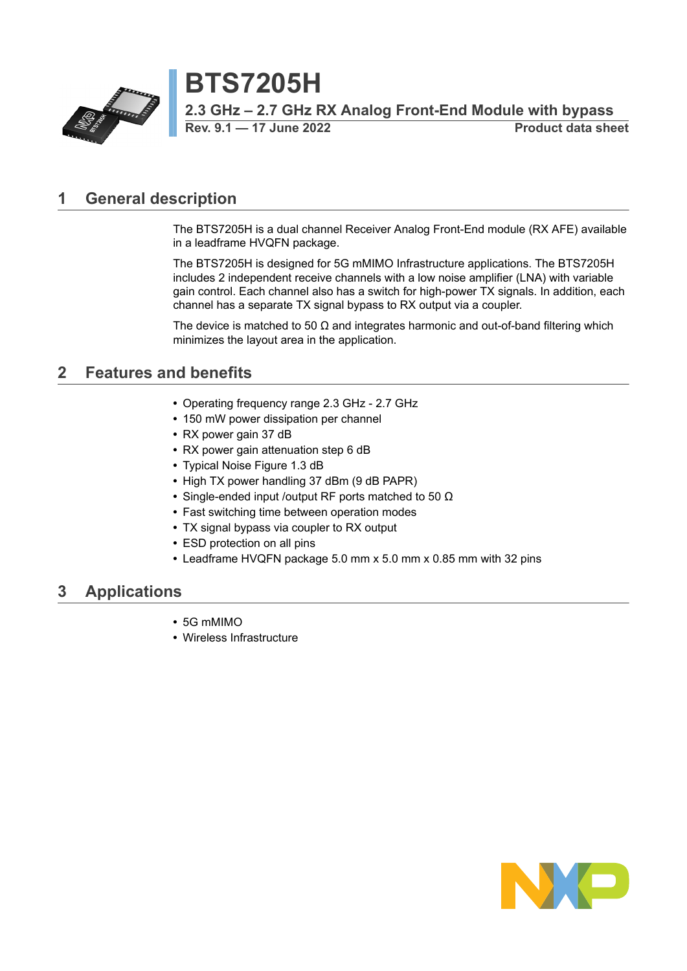

**Rev. 9.1 — 17 June 2022 Product data sheet**

## <span id="page-0-0"></span>**1 General description**

The BTS7205H is a dual channel Receiver Analog Front-End module (RX AFE) available in a leadframe HVQFN package.

The BTS7205H is designed for 5G mMIMO Infrastructure applications. The BTS7205H includes 2 independent receive channels with a low noise amplifier (LNA) with variable gain control. Each channel also has a switch for high-power TX signals. In addition, each channel has a separate TX signal bypass to RX output via a coupler.

The device is matched to 50  $\Omega$  and integrates harmonic and out-of-band filtering which minimizes the layout area in the application.

# <span id="page-0-1"></span>**2 Features and benefits**

- **•** Operating frequency range 2.3 GHz 2.7 GHz
- **•** 150 mW power dissipation per channel
- **•** RX power gain 37 dB
- **•** RX power gain attenuation step 6 dB
- **•** Typical Noise Figure 1.3 dB
- **•** High TX power handling 37 dBm (9 dB PAPR)
- **•** Single-ended input /output RF ports matched to 50 Ω
- **•** Fast switching time between operation modes
- **•** TX signal bypass via coupler to RX output
- **•** ESD protection on all pins
- **•** Leadframe HVQFN package 5.0 mm x 5.0 mm x 0.85 mm with 32 pins

### <span id="page-0-2"></span>**3 Applications**

- **•** 5G mMIMO
- **•** Wireless Infrastructure

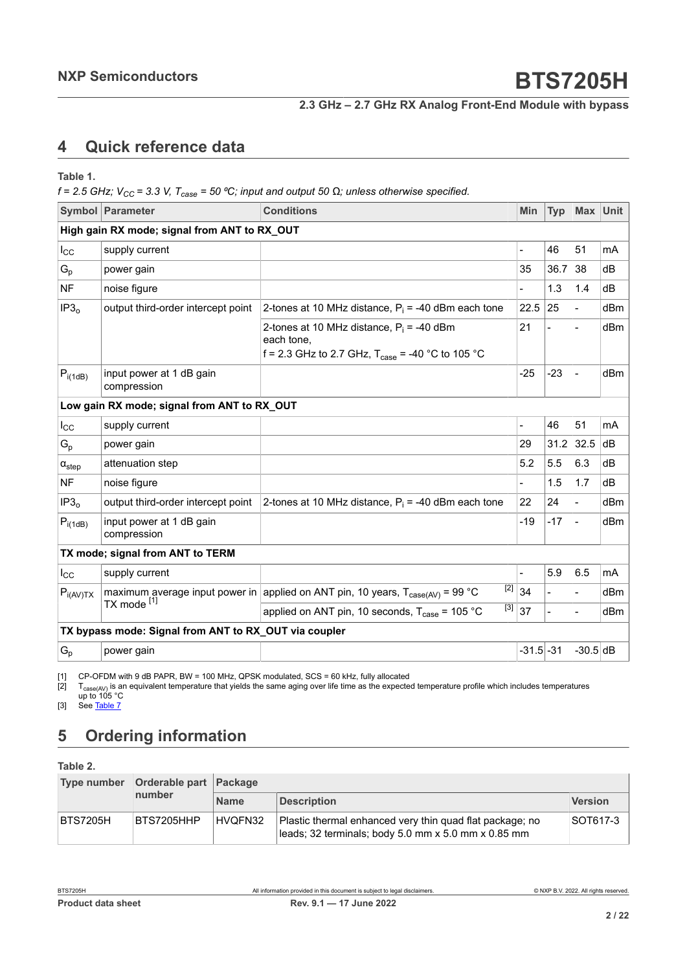# <span id="page-1-3"></span><span id="page-1-1"></span><span id="page-1-0"></span>**4 Quick reference data**

<span id="page-1-2"></span>**Table 1.**

 $f = 2.5$  GHz;  $V_{CC} = 3.3$  V,  $T_{case} = 50$  °C; input and output 50  $\Omega$ ; unless otherwise specified.

|                           | <b>Symbol Parameter</b>                               | <b>Conditions</b>                                                                                                         | Min                      | <b>Typ</b>     | Max                      | <b>Unit</b> |
|---------------------------|-------------------------------------------------------|---------------------------------------------------------------------------------------------------------------------------|--------------------------|----------------|--------------------------|-------------|
|                           | High gain RX mode; signal from ANT to RX_OUT          |                                                                                                                           |                          |                |                          |             |
| $I_{\rm CC}$              | supply current                                        |                                                                                                                           |                          | 46             | 51                       | mA          |
| $\mathsf{G}_{\mathsf{p}}$ | power gain                                            |                                                                                                                           | 35                       | 36.7           | 38                       | dB          |
| <b>NF</b>                 | noise figure                                          |                                                                                                                           |                          | 1.3            | 1.4                      | dВ          |
| IP3 <sub>o</sub>          | output third-order intercept point                    | 2-tones at 10 MHz distance, $P_i = -40$ dBm each tone                                                                     | 22.5                     | 25             | $\overline{\phantom{0}}$ | dBm         |
|                           |                                                       | 2-tones at 10 MHz distance, $P_i = -40$ dBm<br>each tone,<br>f = 2.3 GHz to 2.7 GHz, $T_{\text{case}}$ = -40 °C to 105 °C | 21                       | $\blacksquare$ | $\blacksquare$           | dBm         |
| $P_{i(1dB)}$              | input power at 1 dB gain<br>compression               |                                                                                                                           | $-25$                    | $-23$          | $\overline{\phantom{0}}$ | dBm         |
|                           | Low gain RX mode; signal from ANT to RX_OUT           |                                                                                                                           |                          |                |                          |             |
| $I_{\rm CC}$              | supply current                                        |                                                                                                                           | $\overline{\phantom{a}}$ | 46             | 51                       | mA          |
| $G_p$                     | power gain                                            |                                                                                                                           | 29                       | 31.2           | 32.5                     | dB          |
| $\alpha_{step}$           | attenuation step                                      |                                                                                                                           | 5.2                      | 5.5            | 6.3                      | dB          |
| <b>NF</b>                 | noise figure                                          |                                                                                                                           |                          | 1.5            | 1.7                      | dВ          |
| IP3 <sub>o</sub>          | output third-order intercept point                    | 2-tones at 10 MHz distance, $P_i = -40$ dBm each tone                                                                     | 22                       | 24             | $\overline{\phantom{0}}$ | dBm         |
| $P_{i(1dB)}$              | input power at 1 dB gain<br>compression               |                                                                                                                           | $-19$                    | -17            | $\blacksquare$           | dBm         |
|                           | TX mode; signal from ANT to TERM                      |                                                                                                                           |                          |                |                          |             |
| $I_{\rm CC}$              | supply current                                        |                                                                                                                           |                          | 5.9            | 6.5                      | mA          |
| $P_{i(AV)TX}$             |                                                       | [2]<br>maximum average input power in applied on ANT pin, 10 years, $T_{\text{case(AV)}} = 99 \text{ °C}$                 | 34                       |                |                          | dBm         |
|                           | TX mode [1]                                           | $\lceil 3 \rceil$<br>applied on ANT pin, 10 seconds, $T_{\text{case}}$ = 105 °C                                           | 37                       | $\overline{a}$ | $\blacksquare$           | dBm         |
|                           | TX bypass mode: Signal from ANT to RX_OUT via coupler |                                                                                                                           |                          |                |                          |             |
| $G_p$                     | power gain                                            |                                                                                                                           | $-31.5 - 31$             |                | $-30.5$ dB               |             |

[1] CP-OFDM with 9 dB PAPR, BW = 100 MHz, QPSK modulated, SCS = 60 kHz, fully allocated

[2]  $\;$  T $_{\rm case (AV)}$  is an equivalent temperature that yields the same aging over life time as the expected temperature profile which includes temperatures up to 105 °C

[3] See [Table](#page-5-0) 7

# <span id="page-1-4"></span>**5 Ordering information**

**Table 2.**

|                 | Type number Orderable part Package |             |                                                                                                                 |                |  |  |
|-----------------|------------------------------------|-------------|-----------------------------------------------------------------------------------------------------------------|----------------|--|--|
|                 | number                             | <b>Name</b> | <b>Description</b>                                                                                              | <b>Version</b> |  |  |
| <b>BTS7205H</b> | BTS7205HHP                         | HVQFN32     | Plastic thermal enhanced very thin quad flat package; no<br>leads; 32 terminals; body 5.0 mm x 5.0 mm x 0.85 mm | SOT617-3       |  |  |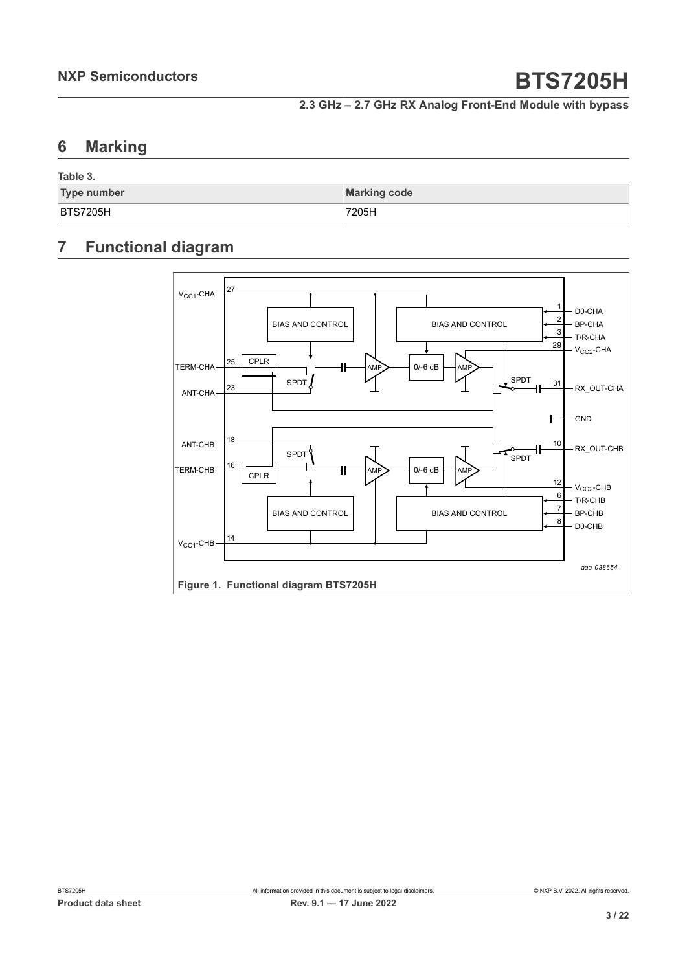## <span id="page-2-0"></span>**6 Marking**

| Table 3.           |                     |
|--------------------|---------------------|
| <b>Type number</b> | <b>Marking code</b> |
| <b>BTS7205H</b>    | 7205H               |

# <span id="page-2-1"></span>**7 Functional diagram**

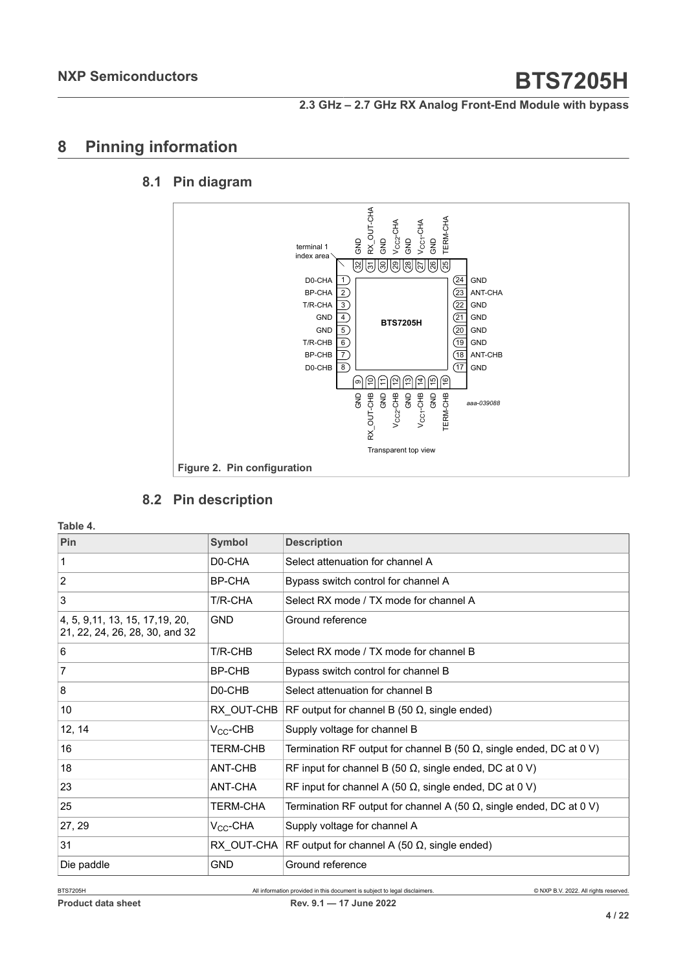## <span id="page-3-0"></span>**8 Pinning information**

#### **8.1 Pin diagram**

<span id="page-3-1"></span>

#### <span id="page-3-2"></span>**8.2 Pin description**

**Table 4.**

| Pin                                                                | <b>Symbol</b>        | <b>Description</b>                                                          |
|--------------------------------------------------------------------|----------------------|-----------------------------------------------------------------------------|
| 1                                                                  | D <sub>0</sub> -CHA  | Select attenuation for channel A                                            |
| $\overline{2}$                                                     | BP-CHA               | Bypass switch control for channel A                                         |
| 3                                                                  | T/R-CHA              | Select RX mode / TX mode for channel A                                      |
| 4, 5, 9, 11, 13, 15, 17, 19, 20,<br>21, 22, 24, 26, 28, 30, and 32 | <b>GND</b>           | Ground reference                                                            |
| 6                                                                  | T/R-CHB              | Select RX mode / TX mode for channel B                                      |
| $\overline{7}$                                                     | BP-CHB               | Bypass switch control for channel B                                         |
| 8                                                                  | D <sub>0</sub> -CHB  | Select attenuation for channel B                                            |
| 10                                                                 | RX OUT-CHB           | RF output for channel B (50 $\Omega$ , single ended)                        |
| 12, 14                                                             | $V_{CC}$ -CHB        | Supply voltage for channel B                                                |
| 16                                                                 | <b>TERM-CHB</b>      | Termination RF output for channel B (50 $\Omega$ , single ended, DC at 0 V) |
| 18                                                                 | ANT-CHB              | RF input for channel B (50 $\Omega$ , single ended, DC at 0 V)              |
| 23                                                                 | ANT-CHA              | RF input for channel A (50 $\Omega$ , single ended, DC at 0 V)              |
| 25                                                                 | <b>TERM-CHA</b>      | Termination RF output for channel A (50 $\Omega$ , single ended, DC at 0 V) |
| 27, 29                                                             | V <sub>CC</sub> -CHA | Supply voltage for channel A                                                |
| 31                                                                 | RX OUT-CHA           | RF output for channel A (50 $\Omega$ , single ended)                        |
| Die paddle                                                         | <b>GND</b>           | Ground reference                                                            |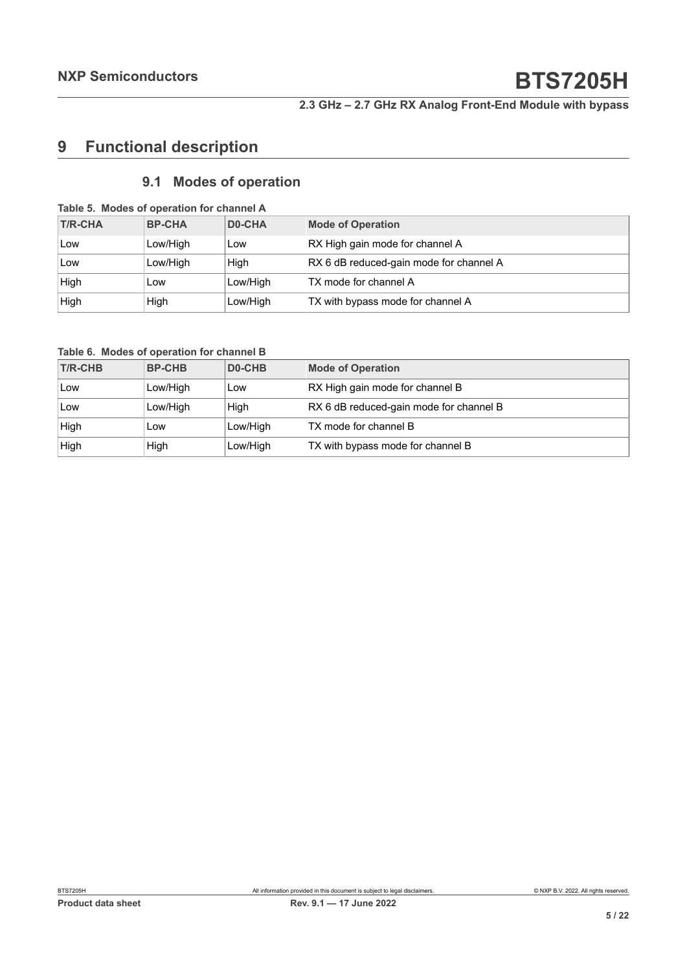# <span id="page-4-0"></span>**9 Functional description**

### <span id="page-4-1"></span>**9.1 Modes of operation**

| <b>T/R-CHA</b> | <b>BP-CHA</b> | D0-CHA   | <b>Mode of Operation</b>                |
|----------------|---------------|----------|-----------------------------------------|
| Low            | Low/High      | Low      | RX High gain mode for channel A         |
| Low            | Low/High      | Hiah     | RX 6 dB reduced-gain mode for channel A |
| High           | Low           | Low/High | TX mode for channel A                   |
| High           | High          | Low/High | TX with bypass mode for channel A       |

**Table 6. Modes of operation for channel B**

| <b>T/R-CHB</b> | <b>BP-CHB</b> | D <sub>0</sub> -CHB | <b>Mode of Operation</b>                |
|----------------|---------------|---------------------|-----------------------------------------|
| Low            | Low/High      | Low                 | RX High gain mode for channel B         |
| Low            | Low/High      | High                | RX 6 dB reduced-gain mode for channel B |
| High           | Low           | Low/High            | TX mode for channel B                   |
| High           | High          | Low/High            | TX with bypass mode for channel B       |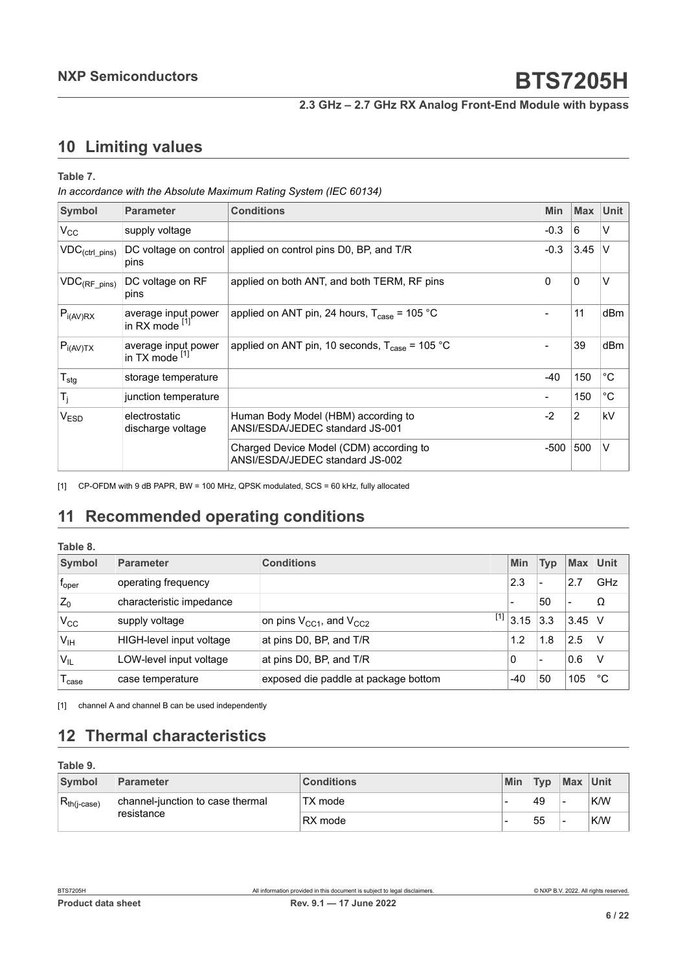# <span id="page-5-2"></span><span id="page-5-1"></span>**10 Limiting values**

#### <span id="page-5-0"></span>**Table 7.**

*In accordance with the Absolute Maximum Rating System (IEC 60134)*

| Symbol                               | <b>Parameter</b>                      | <b>Conditions</b>                                                          | <b>Min</b> | <b>Max</b>  | <b>Unit</b>  |
|--------------------------------------|---------------------------------------|----------------------------------------------------------------------------|------------|-------------|--------------|
| $V_{CC}$                             | supply voltage                        |                                                                            | $-0.3$     | 6           | $\vee$       |
| $\mathsf{VDC}_{(ctrl\_pins)}$        | pins                                  | DC voltage on control applied on control pins D0, BP, and T/R              | $-0.3$     | 3.45        | $\vee$       |
| $\mathsf{VDC}_{(\mathsf{RF\_pins})}$ | DC voltage on RF<br>pins              | applied on both ANT, and both TERM, RF pins                                | 0          | $\mathbf 0$ | $\vee$       |
| $P_{i(AV)RX}$                        | average input power<br>in RX mode [1] | applied on ANT pin, 24 hours, $T_{\text{case}}$ = 105 °C                   |            | 11          | dBm          |
| $P_{i(AV)TX}$                        | average input power<br>in TX mode [1] | applied on ANT pin, 10 seconds, $T_{\text{case}}$ = 105 °C                 |            | 39          | dBm          |
| $T_{\text{stg}}$                     | storage temperature                   |                                                                            | $-40$      | 150         | $^{\circ}$ C |
| $T_j$                                | junction temperature                  |                                                                            |            | 150         | $^{\circ}C$  |
| V <sub>ESD</sub>                     | electrostatic<br>discharge voltage    | Human Body Model (HBM) according to<br>ANSI/ESDA/JEDEC standard JS-001     | $-2$       | 2           | kV           |
|                                      |                                       | Charged Device Model (CDM) according to<br>ANSI/ESDA/JEDEC standard JS-002 | -500       | 500         | $\vee$       |

[1] CP-OFDM with 9 dB PAPR, BW = 100 MHz, QPSK modulated, SCS = 60 kHz, fully allocated

# <span id="page-5-3"></span>**11 Recommended operating conditions**

#### **Table 8.**

| Symbol                | <b>Parameter</b>         | <b>Conditions</b>                    | <b>Min</b>    | <b>Typ</b> | <b>Max</b>               | Unit |
|-----------------------|--------------------------|--------------------------------------|---------------|------------|--------------------------|------|
| $f_{\rm oper}$        | operating frequency      |                                      | 2.3           | -          | 2.7                      | GHz  |
| $Z_0$                 | characteristic impedance |                                      |               | 50         | $\overline{\phantom{0}}$ | Ω    |
| $V_{CC}$              | supply voltage           | on pins $V_{CC1}$ , and $V_{CC2}$    | $^{[1]}$ 3.15 | 3.3        | $3.45$ V                 |      |
| V <sub>IH</sub>       | HIGH-level input voltage | at pins D0, BP, and T/R              | 1.2           | 1.8        | 2.5                      |      |
| <b>V<sub>IL</sub></b> | LOW-level input voltage  | at pins D0, BP, and T/R              | 0             | -          | 0.6                      |      |
| <sup>l</sup> case     | case temperature         | exposed die paddle at package bottom | $-40$         | 50         | 105                      | °C   |

[1] channel A and channel B can be used independently

# <span id="page-5-4"></span>**12 Thermal characteristics**

| Table 9.         |                                                |                   |     |            |                          |     |
|------------------|------------------------------------------------|-------------------|-----|------------|--------------------------|-----|
| Symbol           | Parameter                                      | <b>Conditions</b> | Min | <b>Typ</b> | Max Unit                 |     |
| $R_{th(i-case)}$ | channel-junction to case thermal<br>resistance | TX mode           |     | 49         | $\overline{\phantom{0}}$ | K/W |
|                  |                                                | RX mode           |     | 55         | $\overline{\phantom{0}}$ | K/W |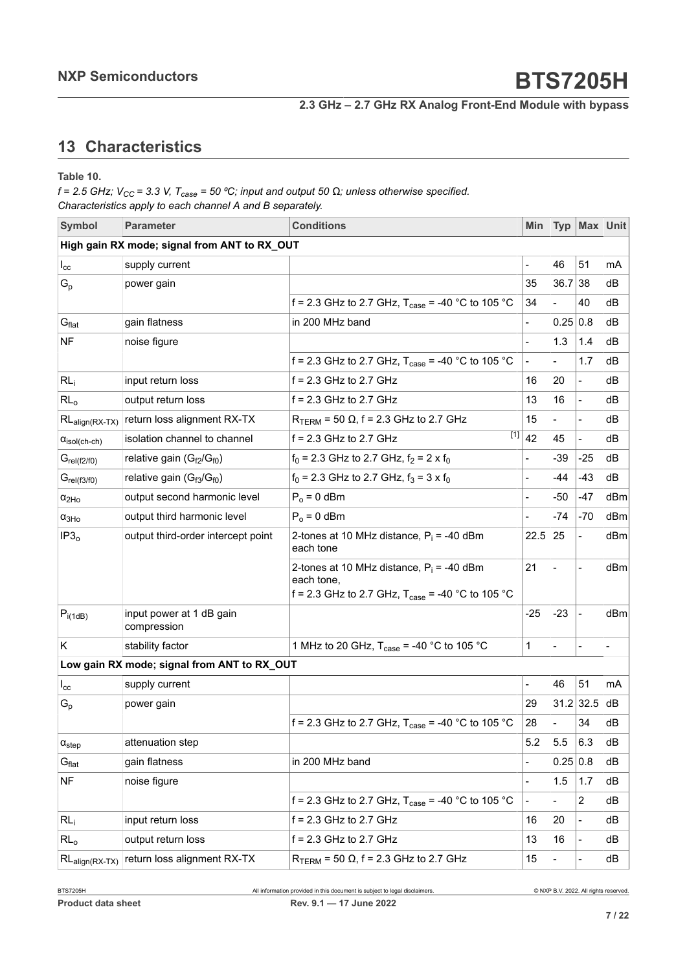# <span id="page-6-0"></span>**13 Characteristics**

**Table 10.**

 $f = 2.5$  GHz;  $V_{CC} = 3.3$  V,  $T_{case} = 50$  °C; input and output 50  $\Omega$ ; unless otherwise specified. *Characteristics apply to each channel A and B separately.*

| <b>Symbol</b>                 | <b>Parameter</b>                                  | <b>Conditions</b>                                                                                                         | Min                      | <b>Typ</b> | Max Unit                 |                          |
|-------------------------------|---------------------------------------------------|---------------------------------------------------------------------------------------------------------------------------|--------------------------|------------|--------------------------|--------------------------|
|                               | High gain RX mode; signal from ANT to RX_OUT      |                                                                                                                           |                          |            |                          |                          |
| $I_{\rm cc}$                  | supply current                                    |                                                                                                                           |                          | 46         | 51                       | mA                       |
| $\mathsf{G}_{\mathsf{p}}$     | power gain                                        |                                                                                                                           | 35                       | 36.7       | 38                       | dВ                       |
|                               |                                                   | f = 2.3 GHz to 2.7 GHz, $T_{\text{case}}$ = -40 °C to 105 °C                                                              | 34                       |            | 40                       | dB                       |
| $G_{\text{flat}}$             | gain flatness                                     | in 200 MHz band                                                                                                           |                          | 0.25 0.8   |                          | dВ                       |
| <b>NF</b>                     | noise figure                                      |                                                                                                                           |                          | 1.3        | 1.4                      | dВ                       |
|                               |                                                   | f = 2.3 GHz to 2.7 GHz, $T_{\text{case}}$ = -40 °C to 105 °C                                                              | $\frac{1}{2}$            |            | 1.7                      | dB                       |
| RL <sub>i</sub>               | input return loss                                 | $f = 2.3$ GHz to 2.7 GHz                                                                                                  | 16                       | 20         | $\overline{\phantom{0}}$ | dВ                       |
| $RL_0$                        | output return loss                                | $f = 2.3$ GHz to 2.7 GHz                                                                                                  | 13                       | 16         | $\overline{a}$           | dB                       |
| $RL_{align(RX-TX)}$           | return loss alignment RX-TX                       | $R_{\text{TERM}}$ = 50 $\Omega$ , f = 2.3 GHz to 2.7 GHz                                                                  | 15                       |            | $\overline{\phantom{a}}$ | dВ                       |
| $\alpha_{\text{isol(ch-ch)}}$ | isolation channel to channel                      | f = 2.3 GHz to 2.7 GHz                                                                                                    | $\overline{[1]}$ 42      | 45         | $\blacksquare$           | dВ                       |
| $G_{rel(f2/f0)}$              | relative gain (G <sub>f2</sub> /G <sub>f0</sub> ) | $f_0$ = 2.3 GHz to 2.7 GHz, $f_2$ = 2 x $f_0$                                                                             |                          | $-39$      | $-25$                    | dB                       |
| $G_{rel(f3/f0)}$              | relative gain $(G_{f3}/G_{f0})$                   | $f_0$ = 2.3 GHz to 2.7 GHz, $f_3$ = 3 x $f_0$                                                                             |                          | -44        | $-43$                    | dВ                       |
| $\alpha_{2Ho}$                | output second harmonic level                      | $P_0 = 0$ dBm                                                                                                             |                          | -50        | -47                      | dBm                      |
| $\alpha_{3Ho}$                | output third harmonic level                       | $P_0 = 0$ dBm                                                                                                             |                          | $-74$      | $-70$                    | dBm                      |
| IP3 <sub>o</sub>              | output third-order intercept point                | 2-tones at 10 MHz distance, $P_i = -40$ dBm<br>each tone                                                                  | 22.5                     | 25         | $\blacksquare$           | dBm                      |
|                               |                                                   | 2-tones at 10 MHz distance, $P_i = -40$ dBm<br>each tone,<br>f = 2.3 GHz to 2.7 GHz, $T_{\text{case}}$ = -40 °C to 105 °C | 21                       |            |                          | dBm                      |
| $P_{i(1dB)}$                  | input power at 1 dB gain<br>compression           |                                                                                                                           | $-25$                    | $-23$      | $\blacksquare$           | dBm                      |
| K                             | stability factor                                  | 1 MHz to 20 GHz, $T_{\text{case}} = -40$ °C to 105 °C                                                                     | 1                        |            | $\blacksquare$           | $\overline{\phantom{0}}$ |
|                               | Low gain RX mode; signal from ANT to RX_OUT       |                                                                                                                           |                          |            |                          |                          |
| $I_{\rm cc}$                  | supply current                                    |                                                                                                                           |                          | 46         | 51                       | mA                       |
| $G_{p}$                       | power gain                                        |                                                                                                                           | 29                       |            | $31.2$ 32.5              | dВ                       |
|                               |                                                   | f = 2.3 GHz to 2.7 GHz, $T_{\text{case}}$ = -40 °C to 105 °C                                                              | 28                       |            | 34                       | dB                       |
| $\alpha_{step}$               | attenuation step                                  |                                                                                                                           | 5.2                      | 5.5        | 6.3                      | dB                       |
| G <sub>flat</sub>             | gain flatness                                     | in 200 MHz band                                                                                                           |                          | 0.25 0.8   |                          | dB                       |
| <b>NF</b>                     | noise figure                                      |                                                                                                                           |                          | 1.5        | 1.7                      | dB                       |
|                               |                                                   | f = 2.3 GHz to 2.7 GHz, $T_{\text{case}}$ = -40 °C to 105 °C                                                              | $\overline{\phantom{a}}$ |            | $\overline{2}$           | dB                       |
| $RL_i$                        | input return loss                                 | $f = 2.3$ GHz to 2.7 GHz                                                                                                  | 16                       | 20         | $\overline{\phantom{a}}$ | dВ                       |
| $RL_0$                        | output return loss                                | $f = 2.3$ GHz to 2.7 GHz                                                                                                  | 13                       | 16         | $\overline{\phantom{a}}$ | dВ                       |
| $RL_{align(RX-TX)}$           | return loss alignment RX-TX                       | $R_{\text{TERM}}$ = 50 $\Omega$ , f = 2.3 GHz to 2.7 GHz                                                                  | 15                       |            | $\overline{\phantom{a}}$ | dB                       |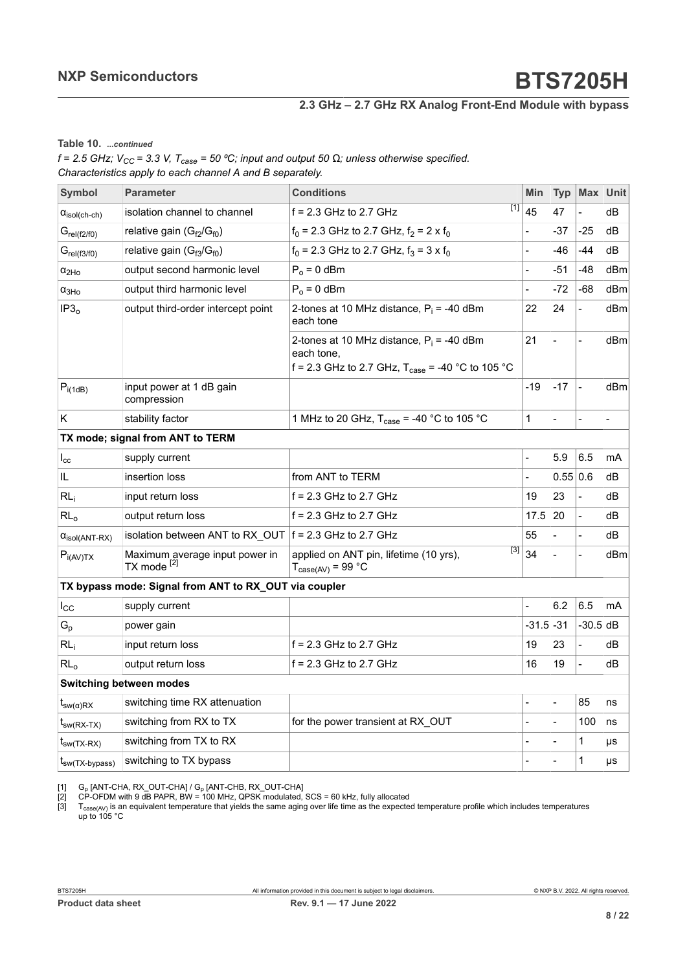<span id="page-7-0"></span>**Table 10.** *...continued*

<span id="page-7-2"></span><span id="page-7-1"></span> $f = 2.5$  GHz;  $V_{CC} = 3.3$  V,  $T_{case} = 50$  °C; input and output 50  $\Omega$ ; unless otherwise specified. *Characteristics apply to each channel A and B separately.*

| <b>Parameter</b>                                         | <b>Conditions</b>                                                                                                         | <b>Min</b>                                                                                                        | <b>Typ</b>                                 |                | Max Unit       |
|----------------------------------------------------------|---------------------------------------------------------------------------------------------------------------------------|-------------------------------------------------------------------------------------------------------------------|--------------------------------------------|----------------|----------------|
| isolation channel to channel                             | $f = 2.3$ GHz to 2.7 GHz                                                                                                  |                                                                                                                   | 47                                         |                | dВ             |
| relative gain $(G_{f2}/G_{f0})$                          | $f_0$ = 2.3 GHz to 2.7 GHz, $f_2$ = 2 x $f_0$                                                                             |                                                                                                                   | -37                                        | $-25$          | dB             |
| relative gain $(G_{f3}/G_{f0})$                          | $f_0$ = 2.3 GHz to 2.7 GHz, $f_3$ = 3 x $f_0$                                                                             |                                                                                                                   | -46                                        | -44            | dB             |
| output second harmonic level                             | $P_0 = 0$ dBm                                                                                                             | -                                                                                                                 | $-51$                                      | $-48$          | dBm            |
| output third harmonic level                              | $P_0 = 0$ dBm                                                                                                             | $\overline{a}$                                                                                                    | $-72$                                      | -68            | dBm            |
| output third-order intercept point                       | 2-tones at 10 MHz distance, $P_i = -40$ dBm<br>each tone                                                                  | 22                                                                                                                | 24                                         |                | dBm            |
|                                                          | 2-tones at 10 MHz distance, $P_i = -40$ dBm<br>each tone,<br>f = 2.3 GHz to 2.7 GHz, $T_{\text{case}}$ = -40 °C to 105 °C | 21                                                                                                                | $\overline{a}$                             | $\overline{a}$ | dBm            |
| input power at 1 dB gain<br>compression                  |                                                                                                                           | $-19$                                                                                                             | $-17$                                      | $\blacksquare$ | dBm            |
| stability factor                                         | 1 MHz to 20 GHz, $T_{\text{case}} = -40 \degree C$ to 105 °C                                                              | 1                                                                                                                 |                                            |                | $\overline{a}$ |
| TX mode; signal from ANT to TERM                         |                                                                                                                           |                                                                                                                   |                                            |                |                |
| supply current                                           |                                                                                                                           | $\overline{a}$                                                                                                    | 5.9                                        | 6.5            | mA             |
| insertion loss                                           | from ANT to TERM                                                                                                          |                                                                                                                   |                                            |                | dВ             |
| input return loss                                        | $f = 2.3$ GHz to 2.7 GHz                                                                                                  | 19                                                                                                                | 23                                         | $\overline{a}$ | dB             |
| output return loss                                       | $f = 2.3$ GHz to 2.7 GHz                                                                                                  | 17.5                                                                                                              | 20                                         |                | dB             |
|                                                          |                                                                                                                           | 55                                                                                                                |                                            |                | dB             |
| Maximum average input power in<br>TX mode <sup>[2]</sup> | applied on ANT pin, lifetime (10 yrs),<br>$T_{\text{case(AV)}} = 99 \text{ °C}$                                           |                                                                                                                   |                                            |                | dBm            |
|                                                          |                                                                                                                           |                                                                                                                   |                                            |                |                |
| supply current                                           |                                                                                                                           |                                                                                                                   | 6.2                                        | 6.5            | mA             |
| power gain                                               |                                                                                                                           |                                                                                                                   |                                            | $-30.5$ dB     |                |
| input return loss                                        | $f = 2.3$ GHz to 2.7 GHz                                                                                                  | 19                                                                                                                | 23                                         |                | dВ             |
| output return loss                                       | $f = 2.3$ GHz to 2.7 GHz                                                                                                  | 16                                                                                                                | 19                                         |                | dВ             |
| Switching between modes                                  |                                                                                                                           |                                                                                                                   |                                            |                |                |
| switching time RX attenuation                            |                                                                                                                           |                                                                                                                   |                                            | 85             | ns             |
| switching from RX to TX                                  | for the power transient at RX OUT                                                                                         |                                                                                                                   |                                            | 100            | ns             |
| switching from TX to RX                                  |                                                                                                                           |                                                                                                                   |                                            | $\mathbf{1}$   | μs             |
| switching to TX bypass                                   |                                                                                                                           |                                                                                                                   |                                            | 1              | μs             |
|                                                          |                                                                                                                           | isolation between ANT to RX OUT $f = 2.3$ GHz to 2.7 GHz<br>TX bypass mode: Signal from ANT to RX_OUT via coupler | $\overline{[1]}$ 45<br>$\overline{[3]}$ 34 | $-31.5$ $-31$  | 0.55 0.6       |

[1] G<sub>p</sub> [ANT-CHA, RX\_OUT-CHA] / G<sub>p</sub> [ANT-CHB, RX\_OUT-CHA]<br>[2] CP-OFDM with 9 dB PAPR, BW = 100 MHz, QPSK modulated, SCS = 60 kHz, fully allocated

[3]  $\;$  T $_{\rm case (AV)}$  is an equivalent temperature that yields the same aging over life time as the expected temperature profile which includes temperatures up to 105 °C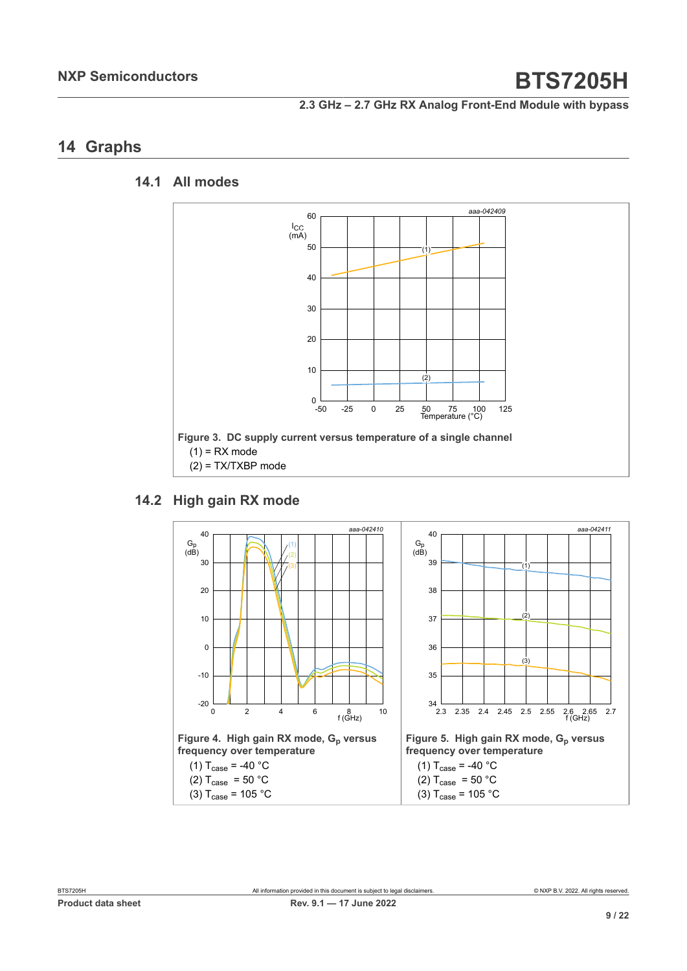# <span id="page-8-0"></span>**14 Graphs**

#### **14.1 All modes**

<span id="page-8-1"></span>

#### **14.2 High gain RX mode**

<span id="page-8-2"></span>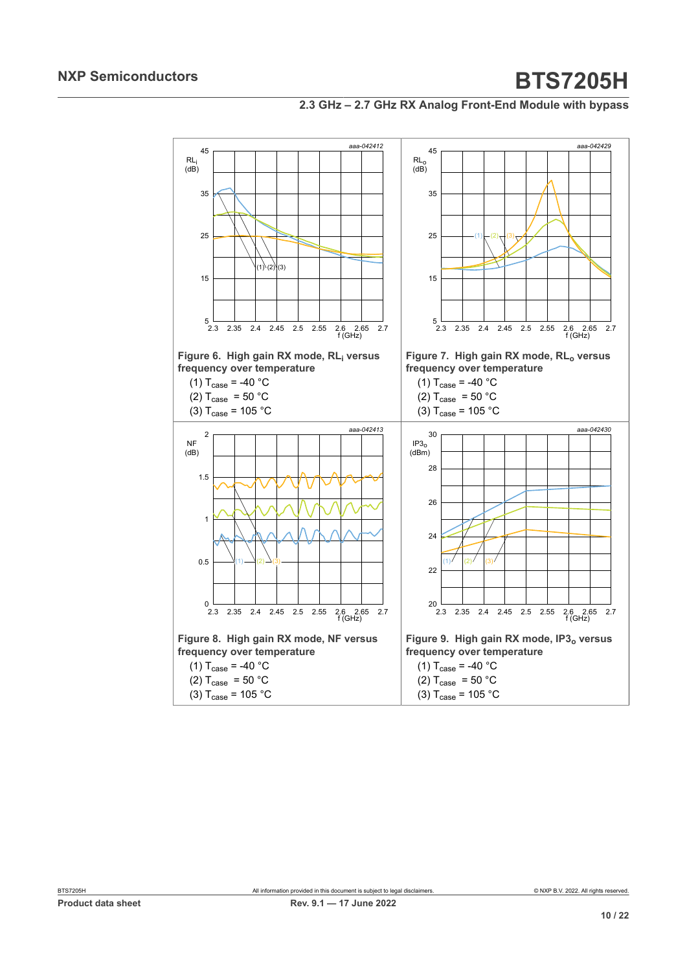#### **2.3 GHz – 2.7 GHz RX Analog Front-End Module with bypass**

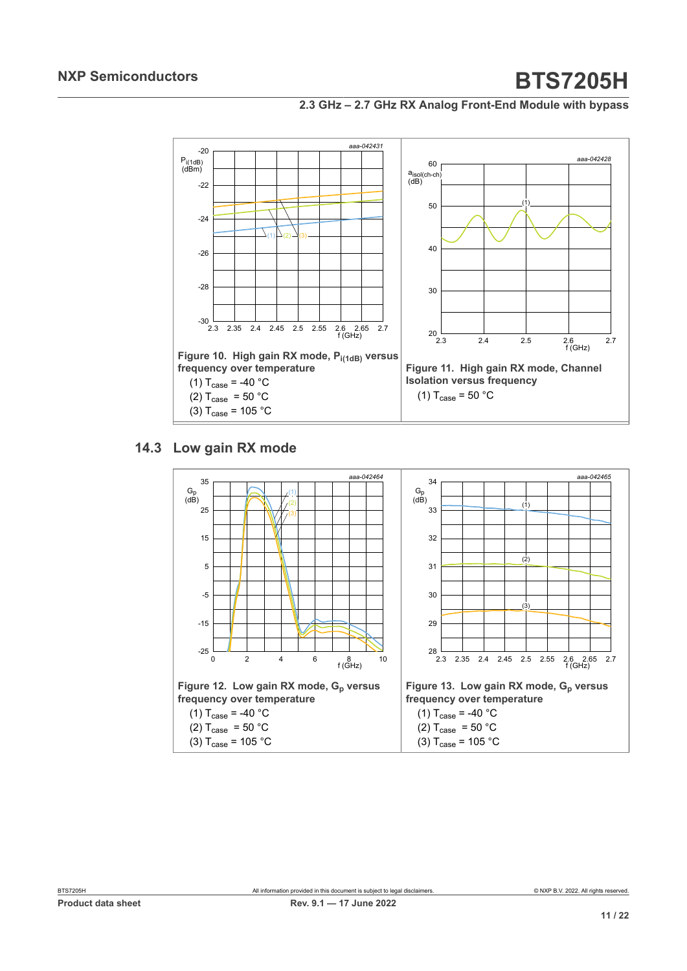



### **14.3 Low gain RX mode**

<span id="page-10-0"></span>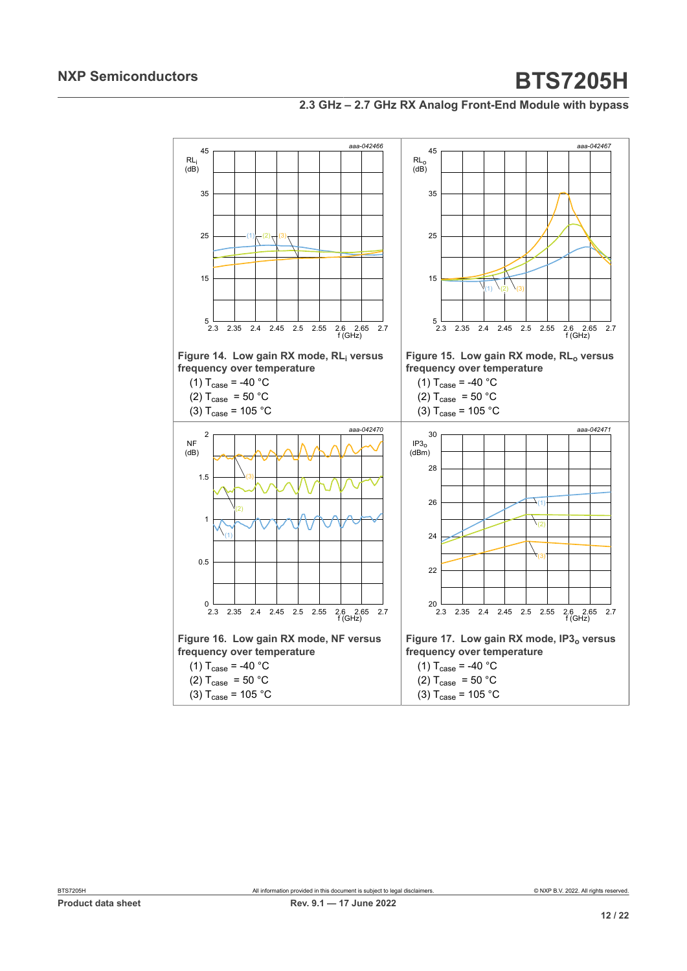

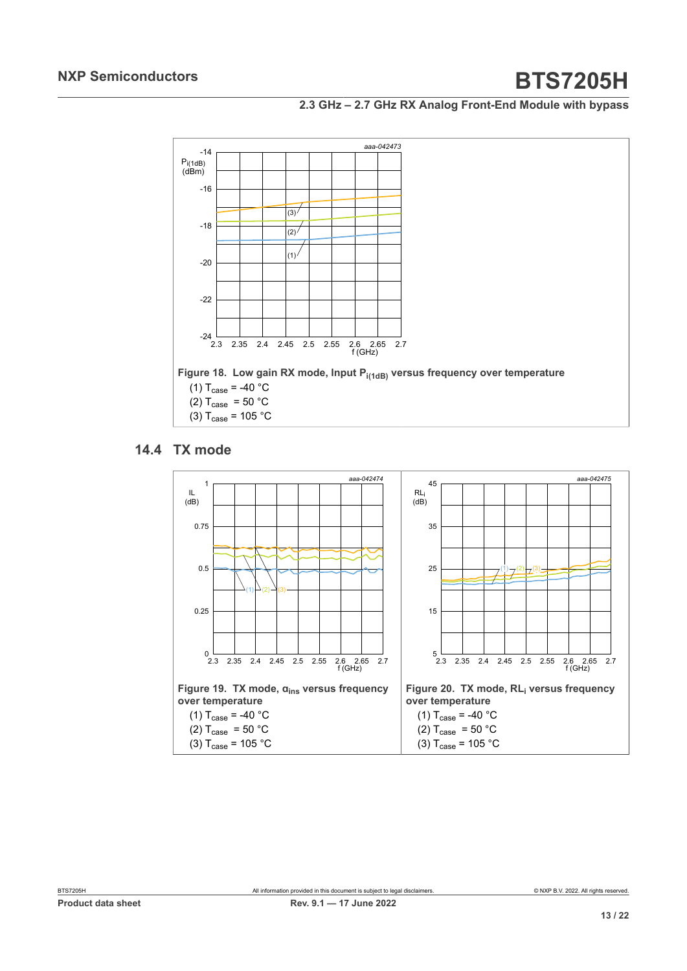#### **2.3 GHz – 2.7 GHz RX Analog Front-End Module with bypass**



### **14.4 TX mode**

<span id="page-12-0"></span>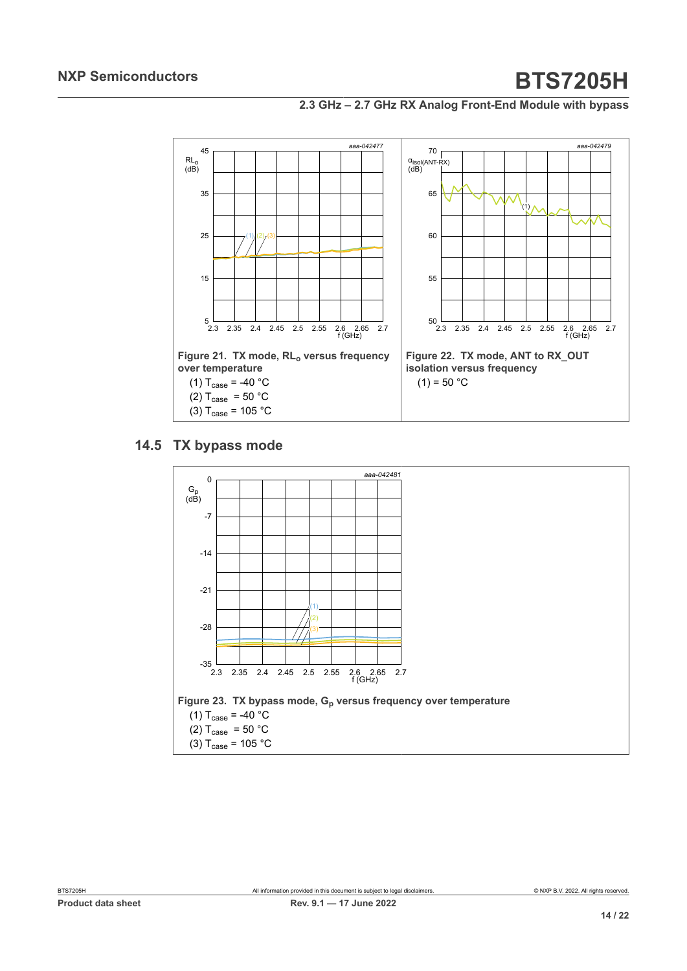**2.3 GHz – 2.7 GHz RX Analog Front-End Module with bypass**



#### **14.5 TX bypass mode**

<span id="page-13-0"></span>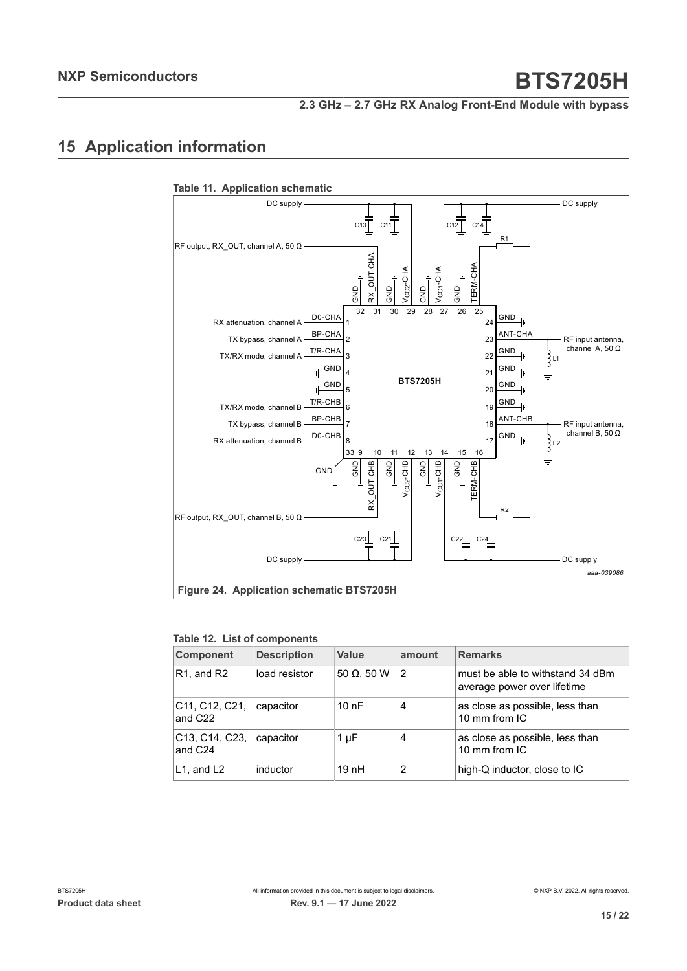# <span id="page-14-0"></span>**15 Application information**



#### **Table 12. List of components**

| <b>Component</b>                                                             | <b>Description</b> | Value              | amount | <b>Remarks</b>                                                  |
|------------------------------------------------------------------------------|--------------------|--------------------|--------|-----------------------------------------------------------------|
| $R1$ , and $R2$                                                              | load resistor      | 50 $\Omega$ , 50 W | 2      | must be able to withstand 34 dBm<br>average power over lifetime |
| C <sub>11</sub> , C <sub>12</sub> , C <sub>21</sub> ,<br>and C <sub>22</sub> | capacitor          | 10nF               | 4      | as close as possible, less than<br>10 mm from IC                |
| C <sub>13</sub> , C <sub>14</sub> , C <sub>23</sub> ,<br>and C <sub>24</sub> | capacitor          | $1 \mu F$          | 4      | as close as possible, less than<br>10 mm from IC                |
| L1, and L2                                                                   | inductor           | 19nH               | 2      | high-Q inductor, close to IC                                    |

**Table 11. Application schematic**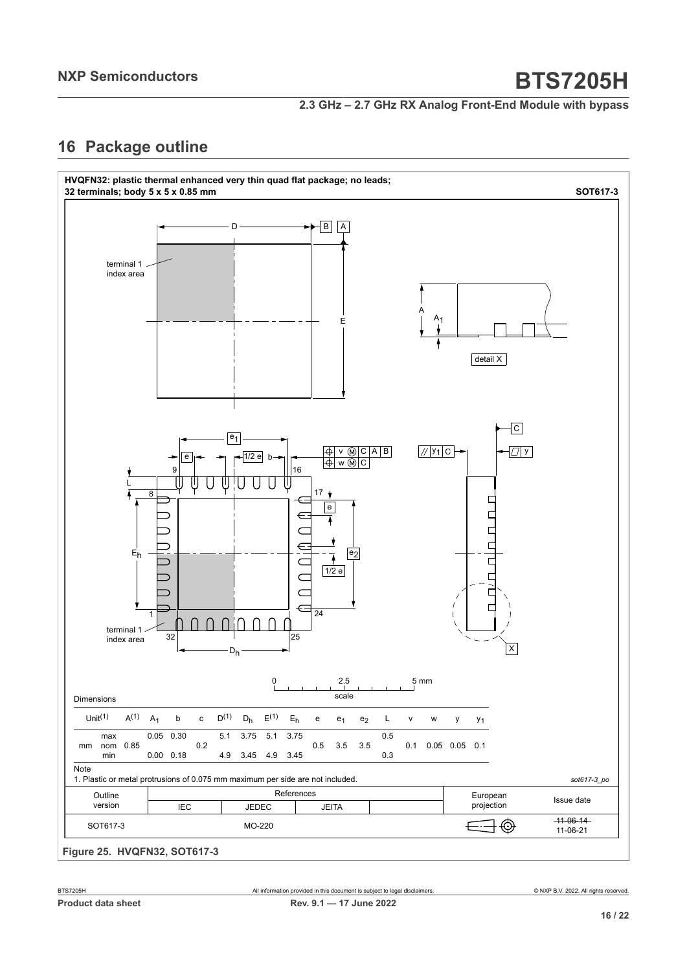**2.3 GHz – 2.7 GHz RX Analog Front-End Module with bypass**

# <span id="page-15-0"></span>**16 Package outline**

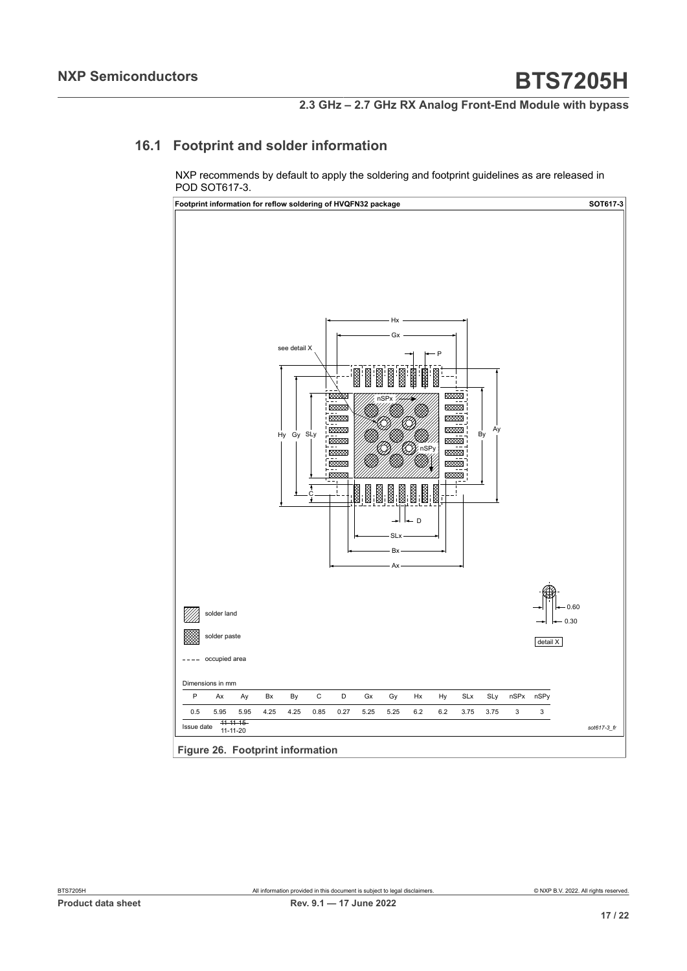### **16.1 Footprint and solder information**

<span id="page-16-0"></span>NXP recommends by default to apply the soldering and footprint guidelines as are released in POD SOT617-3.



**Figure 26. Footprint information**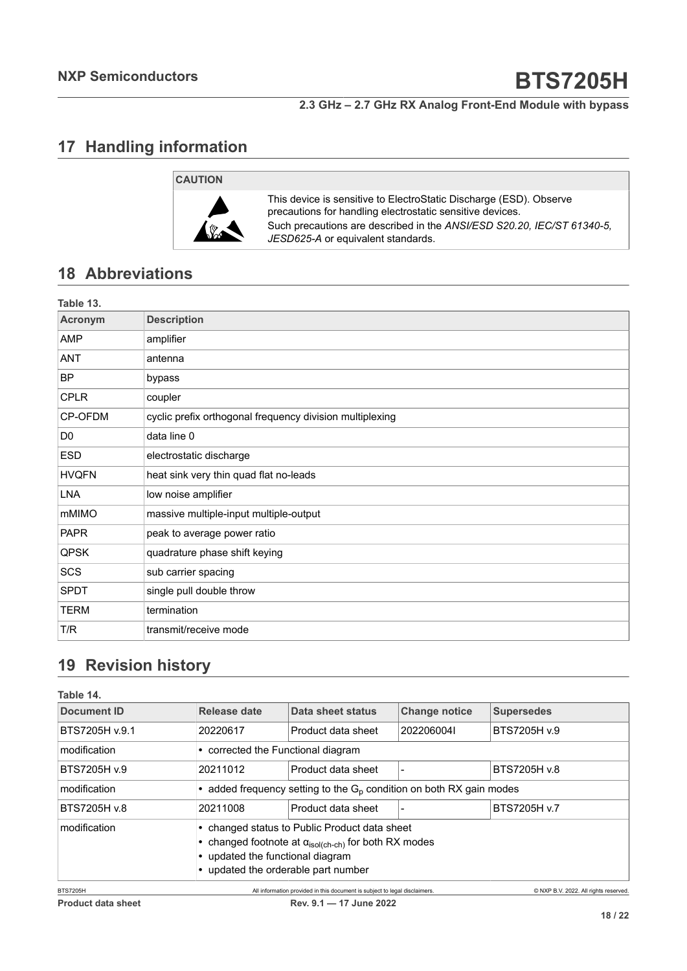# <span id="page-17-0"></span>**17 Handling information**



This device is sensitive to ElectroStatic Discharge (ESD). Observe precautions for handling electrostatic sensitive devices. Such precautions are described in the *ANSI/ESD S20.20, IEC/ST 61340-5, JESD625-A* or equivalent standards.

# <span id="page-17-1"></span>**18 Abbreviations**

| Table 13.      |                                                          |
|----------------|----------------------------------------------------------|
| Acronym        | <b>Description</b>                                       |
| AMP            | amplifier                                                |
| <b>ANT</b>     | antenna                                                  |
| <b>BP</b>      | bypass                                                   |
| <b>CPLR</b>    | coupler                                                  |
| CP-OFDM        | cyclic prefix orthogonal frequency division multiplexing |
| D <sub>0</sub> | data line 0                                              |
| <b>ESD</b>     | electrostatic discharge                                  |
| <b>HVQFN</b>   | heat sink very thin quad flat no-leads                   |
| <b>LNA</b>     | low noise amplifier                                      |
| mMIMO          | massive multiple-input multiple-output                   |
| <b>PAPR</b>    | peak to average power ratio                              |
| <b>QPSK</b>    | quadrature phase shift keying                            |
| SCS            | sub carrier spacing                                      |
| <b>SPDT</b>    | single pull double throw                                 |
| <b>TERM</b>    | termination                                              |
| T/R            | transmit/receive mode                                    |

# <span id="page-17-2"></span>**19 Revision history**

| Table 14.          |              |                                                                                                                                                                                                  |                      |                                       |  |
|--------------------|--------------|--------------------------------------------------------------------------------------------------------------------------------------------------------------------------------------------------|----------------------|---------------------------------------|--|
| <b>Document ID</b> | Release date | Data sheet status                                                                                                                                                                                | <b>Change notice</b> | <b>Supersedes</b>                     |  |
| BTS7205H v.9.1     | 20220617     | Product data sheet                                                                                                                                                                               | 2022060041           | BTS7205H v.9                          |  |
| modification       |              | • corrected the Functional diagram                                                                                                                                                               |                      |                                       |  |
| BTS7205H v.9       | 20211012     | Product data sheet                                                                                                                                                                               |                      | BTS7205H v.8                          |  |
| modification       |              | • added frequency setting to the $Gp$ condition on both RX gain modes                                                                                                                            |                      |                                       |  |
| BTS7205H v.8       | 20211008     | Product data sheet                                                                                                                                                                               |                      | BTS7205H v.7                          |  |
| modification       |              | • changed status to Public Product data sheet<br>• changed footnote at $\alpha_{\text{isol(ch-ch}}$ for both RX modes<br>• updated the functional diagram<br>• updated the orderable part number |                      |                                       |  |
| <b>BTS7205H</b>    |              | All information provided in this document is subject to legal disclaimers.                                                                                                                       |                      | © NXP B.V. 2022. All rights reserved. |  |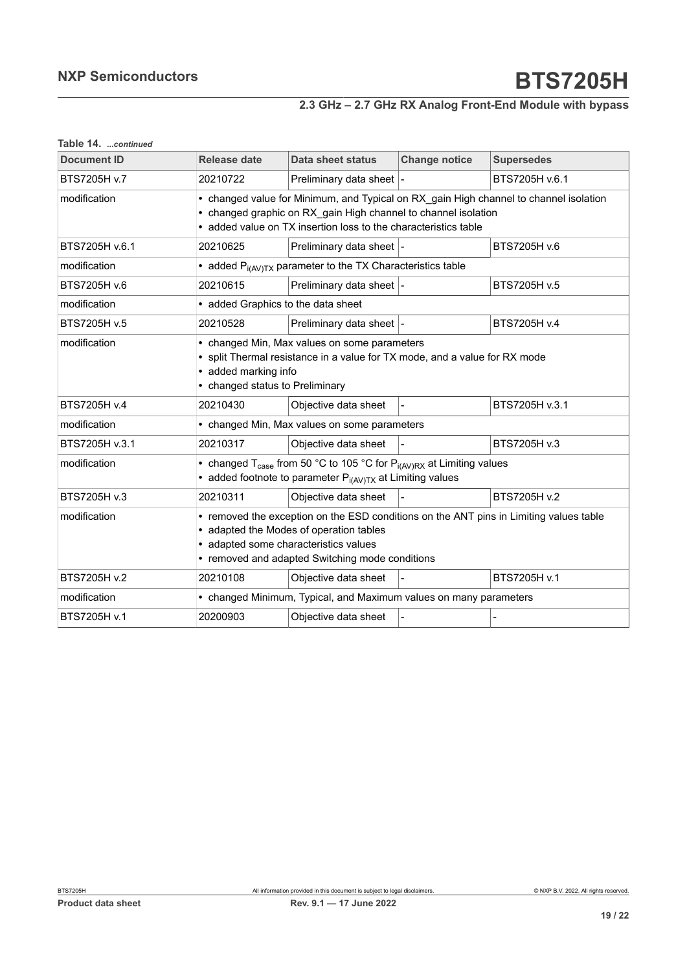| Table 14. continued |  |
|---------------------|--|
|---------------------|--|

| <b>Document ID</b> | Release date                                                                                                                                                                                                                  | Data sheet status                                               | <b>Change notice</b> | <b>Supersedes</b> |
|--------------------|-------------------------------------------------------------------------------------------------------------------------------------------------------------------------------------------------------------------------------|-----------------------------------------------------------------|----------------------|-------------------|
| BTS7205H v.7       | 20210722                                                                                                                                                                                                                      | Preliminary data sheet  -                                       |                      | BTS7205H v.6.1    |
| modification       | • changed value for Minimum, and Typical on RX gain High channel to channel isolation<br>changed graphic on RX gain High channel to channel isolation<br>• added value on TX insertion loss to the characteristics table      |                                                                 |                      |                   |
| BTS7205H v.6.1     | 20210625                                                                                                                                                                                                                      | Preliminary data sheet  -                                       |                      | BTS7205H v.6      |
| modification       |                                                                                                                                                                                                                               | • added $P_{i(AV)TX}$ parameter to the TX Characteristics table |                      |                   |
| BTS7205H v.6       | 20210615                                                                                                                                                                                                                      | Preliminary data sheet  -                                       |                      | BTS7205H v.5      |
| modification       | • added Graphics to the data sheet                                                                                                                                                                                            |                                                                 |                      |                   |
| BTS7205H v.5       | 20210528                                                                                                                                                                                                                      | Preliminary data sheet  -                                       |                      | BTS7205H v.4      |
| modification       | • changed Min, Max values on some parameters<br>• split Thermal resistance in a value for TX mode, and a value for RX mode<br>• added marking info<br>• changed status to Preliminary                                         |                                                                 |                      |                   |
| BTS7205H v.4       | 20210430                                                                                                                                                                                                                      | Objective data sheet                                            |                      | BTS7205H v.3.1    |
| modification       | • changed Min, Max values on some parameters                                                                                                                                                                                  |                                                                 |                      |                   |
| BTS7205H v.3.1     | 20210317                                                                                                                                                                                                                      | Objective data sheet                                            |                      | BTS7205H v.3      |
| modification       | • changed T <sub>case</sub> from 50 °C to 105 °C for $P_{i(AV)RX}$ at Limiting values<br>• added footnote to parameter $P_{i(AV)TX}$ at Limiting values                                                                       |                                                                 |                      |                   |
| BTS7205H v.3       | 20210311                                                                                                                                                                                                                      | Objective data sheet                                            |                      | BTS7205H v.2      |
| modification       | • removed the exception on the ESD conditions on the ANT pins in Limiting values table<br>• adapted the Modes of operation tables<br>• adapted some characteristics values<br>• removed and adapted Switching mode conditions |                                                                 |                      |                   |
| BTS7205H v.2       | 20210108                                                                                                                                                                                                                      | Objective data sheet                                            |                      | BTS7205H v.1      |
| modification       | • changed Minimum, Typical, and Maximum values on many parameters                                                                                                                                                             |                                                                 |                      |                   |
| BTS7205H v.1       | 20200903                                                                                                                                                                                                                      | Objective data sheet                                            |                      |                   |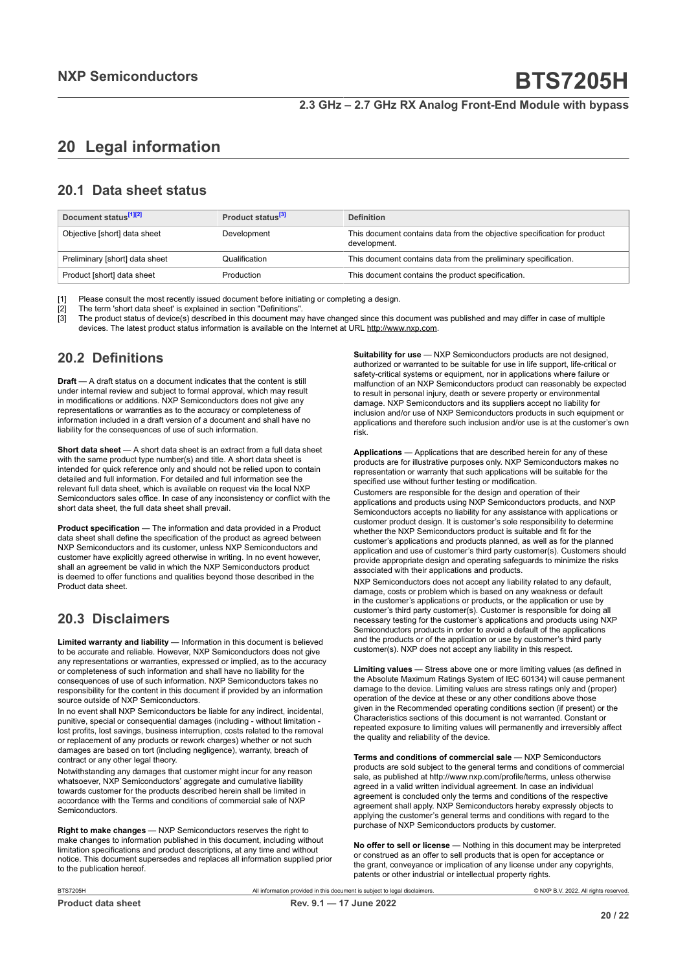# <span id="page-19-0"></span>**20 Legal information**

#### **20.1 Data sheet status**

| Document status <sup>[1][2]</sup> | Product status <sup>[3]</sup> | <b>Definition</b>                                                                        |
|-----------------------------------|-------------------------------|------------------------------------------------------------------------------------------|
| Objective [short] data sheet      | Development                   | This document contains data from the objective specification for product<br>development. |
| Preliminary [short] data sheet    | Qualification                 | This document contains data from the preliminary specification.                          |
| Product [short] data sheet        | Production                    | This document contains the product specification.                                        |

[1] Please consult the most recently issued document before initiating or completing a design.<br>[2] The term 'short data sheet' is explained in section "Definitions".

[2] The term 'short data sheet' is explained in section "Definitions".<br>[2] The term 'short data sheet' is explained in section "Definitions".

[3] The product status of device(s) described in this document may have changed since this document was published and may differ in case of multiple devices. The latest product status information is available on the Internet at URL http://www.nxp.com.

#### **20.2 Definitions**

**Draft** — A draft status on a document indicates that the content is still under internal review and subject to formal approval, which may result in modifications or additions. NXP Semiconductors does not give any representations or warranties as to the accuracy or completeness of information included in a draft version of a document and shall have no liability for the consequences of use of such information.

**Short data sheet** — A short data sheet is an extract from a full data sheet with the same product type number(s) and title. A short data sheet is intended for quick reference only and should not be relied upon to contain detailed and full information. For detailed and full information see the relevant full data sheet, which is available on request via the local NXP Semiconductors sales office. In case of any inconsistency or conflict with the short data sheet, the full data sheet shall prevail.

**Product specification** — The information and data provided in a Product data sheet shall define the specification of the product as agreed between NXP Semiconductors and its customer, unless NXP Semiconductors and customer have explicitly agreed otherwise in writing. In no event however, shall an agreement be valid in which the NXP Semiconductors product is deemed to offer functions and qualities beyond those described in the Product data sheet.

### **20.3 Disclaimers**

**Limited warranty and liability** — Information in this document is believed to be accurate and reliable. However, NXP Semiconductors does not give any representations or warranties, expressed or implied, as to the accuracy or completeness of such information and shall have no liability for the consequences of use of such information. NXP Semiconductors takes no responsibility for the content in this document if provided by an information source outside of NXP Semiconductors.

In no event shall NXP Semiconductors be liable for any indirect, incidental, punitive, special or consequential damages (including - without limitation lost profits, lost savings, business interruption, costs related to the removal or replacement of any products or rework charges) whether or not such damages are based on tort (including negligence), warranty, breach of contract or any other legal theory.

Notwithstanding any damages that customer might incur for any reason whatsoever, NXP Semiconductors' aggregate and cumulative liability towards customer for the products described herein shall be limited in accordance with the Terms and conditions of commercial sale of NXP Semiconductors.

**Right to make changes** — NXP Semiconductors reserves the right to make changes to information published in this document, including without limitation specifications and product descriptions, at any time and without notice. This document supersedes and replaces all information supplied prior to the publication hereof.

**Suitability for use** — NXP Semiconductors products are not designed, authorized or warranted to be suitable for use in life support, life-critical or safety-critical systems or equipment, nor in applications where failure or malfunction of an NXP Semiconductors product can reasonably be expected to result in personal injury, death or severe property or environmental damage. NXP Semiconductors and its suppliers accept no liability for inclusion and/or use of NXP Semiconductors products in such equipment or applications and therefore such inclusion and/or use is at the customer's own risk.

**Applications** — Applications that are described herein for any of these products are for illustrative purposes only. NXP Semiconductors makes no representation or warranty that such applications will be suitable for the specified use without further testing or modification.

Customers are responsible for the design and operation of their applications and products using NXP Semiconductors products, and NXP Semiconductors accepts no liability for any assistance with applications or customer product design. It is customer's sole responsibility to determine whether the NXP Semiconductors product is suitable and fit for the customer's applications and products planned, as well as for the planned application and use of customer's third party customer(s). Customers should provide appropriate design and operating safeguards to minimize the risks associated with their applications and products.

NXP Semiconductors does not accept any liability related to any default, damage, costs or problem which is based on any weakness or default in the customer's applications or products, or the application or use by customer's third party customer(s). Customer is responsible for doing all necessary testing for the customer's applications and products using NXP Semiconductors products in order to avoid a default of the applications and the products or of the application or use by customer's third party customer(s). NXP does not accept any liability in this respect.

**Limiting values** — Stress above one or more limiting values (as defined in the Absolute Maximum Ratings System of IEC 60134) will cause permanent damage to the device. Limiting values are stress ratings only and (proper) operation of the device at these or any other conditions above those given in the Recommended operating conditions section (if present) or the Characteristics sections of this document is not warranted. Constant or repeated exposure to limiting values will permanently and irreversibly affect the quality and reliability of the device.

**Terms and conditions of commercial sale** — NXP Semiconductors products are sold subject to the general terms and conditions of commercial sale, as published at http://www.nxp.com/profile/terms, unless otherwise agreed in a valid written individual agreement. In case an individual agreement is concluded only the terms and conditions of the respective agreement shall apply. NXP Semiconductors hereby expressly objects to applying the customer's general terms and conditions with regard to the purchase of NXP Semiconductors products by customer.

**No offer to sell or license** — Nothing in this document may be interpreted or construed as an offer to sell products that is open for acceptance or the grant, conveyance or implication of any license under any copyrights, patents or other industrial or intellectual property rights.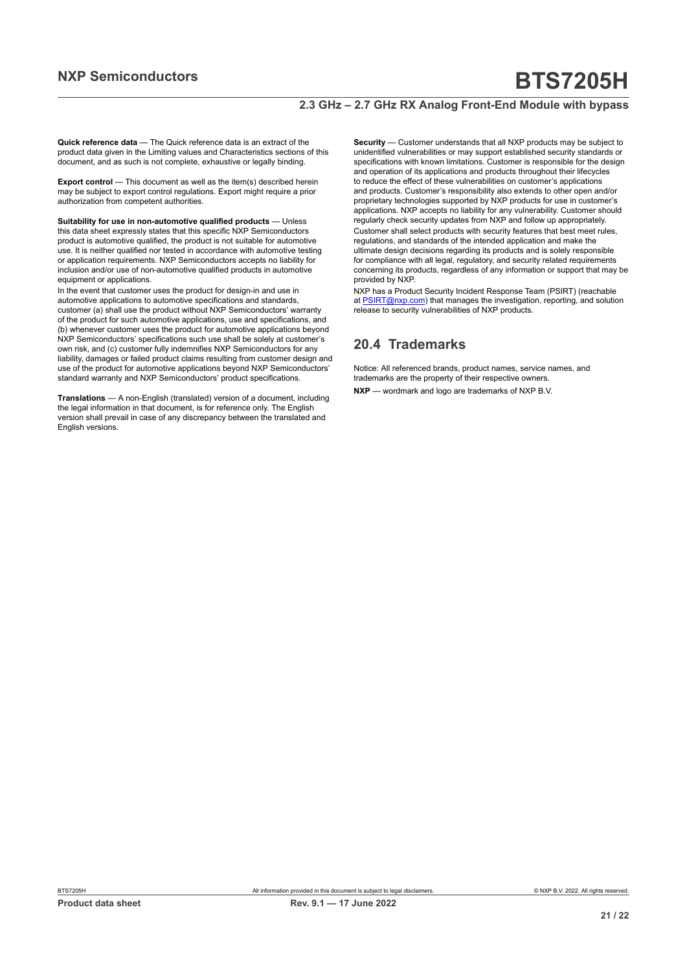#### **2.3 GHz – 2.7 GHz RX Analog Front-End Module with bypass**

**Quick reference data** — The Quick reference data is an extract of the product data given in the Limiting values and Characteristics sections of this document, and as such is not complete, exhaustive or legally binding.

**Export control** — This document as well as the item(s) described herein may be subject to export control regulations. Export might require a prior authorization from competent authorities.

**Suitability for use in non-automotive qualified products** — Unless this data sheet expressly states that this specific NXP Semiconductors product is automotive qualified, the product is not suitable for automotive use. It is neither qualified nor tested in accordance with automotive testing or application requirements. NXP Semiconductors accepts no liability for inclusion and/or use of non-automotive qualified products in automotive equipment or applications.

In the event that customer uses the product for design-in and use in automotive applications to automotive specifications and standards, customer (a) shall use the product without NXP Semiconductors' warranty of the product for such automotive applications, use and specifications, and (b) whenever customer uses the product for automotive applications beyond NXP Semiconductors' specifications such use shall be solely at customer's own risk, and (c) customer fully indemnifies NXP Semiconductors for any liability, damages or failed product claims resulting from customer design and use of the product for automotive applications beyond NXP Semiconductors' standard warranty and NXP Semiconductors' product specifications.

**Translations** — A non-English (translated) version of a document, including the legal information in that document, is for reference only. The English version shall prevail in case of any discrepancy between the translated and English versions.

**Security** — Customer understands that all NXP products may be subject to unidentified vulnerabilities or may support established security standards or specifications with known limitations. Customer is responsible for the design and operation of its applications and products throughout their lifecycles to reduce the effect of these vulnerabilities on customer's applications and products. Customer's responsibility also extends to other open and/or proprietary technologies supported by NXP products for use in customer's applications. NXP accepts no liability for any vulnerability. Customer should regularly check security updates from NXP and follow up appropriately. Customer shall select products with security features that best meet rules, regulations, and standards of the intended application and make the ultimate design decisions regarding its products and is solely responsible for compliance with all legal, regulatory, and security related requirements concerning its products, regardless of any information or support that may be provided by NXP.

NXP has a Product Security Incident Response Team (PSIRT) (reachable at [PSIRT@nxp.com](mailto:PSIRT@nxp.com)) that manages the investigation, reporting, and solution release to security vulnerabilities of NXP products.

#### **20.4 Trademarks**

Notice: All referenced brands, product names, service names, and trademarks are the property of their respective owners. **NXP** — wordmark and logo are trademarks of NXP B.V.